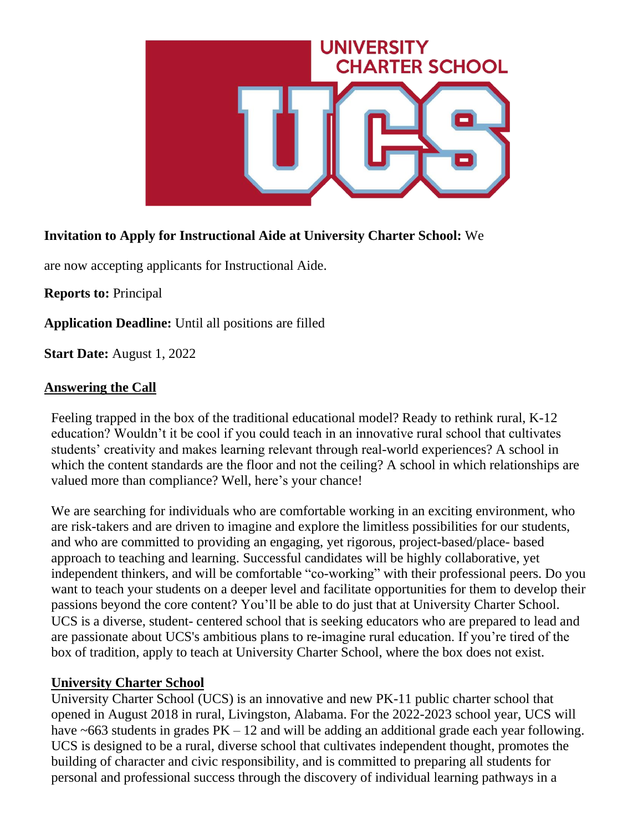

## **Invitation to Apply for Instructional Aide at University Charter School:** We

are now accepting applicants for Instructional Aide.

**Reports to:** Principal

**Application Deadline:** Until all positions are filled

**Start Date:** August 1, 2022

### **Answering the Call**

Feeling trapped in the box of the traditional educational model? Ready to rethink rural, K-12 education? Wouldn't it be cool if you could teach in an innovative rural school that cultivates students' creativity and makes learning relevant through real-world experiences? A school in which the content standards are the floor and not the ceiling? A school in which relationships are valued more than compliance? Well, here's your chance!

We are searching for individuals who are comfortable working in an exciting environment, who are risk-takers and are driven to imagine and explore the limitless possibilities for our students, and who are committed to providing an engaging, yet rigorous, project-based/place- based approach to teaching and learning. Successful candidates will be highly collaborative, yet independent thinkers, and will be comfortable "co-working" with their professional peers. Do you want to teach your students on a deeper level and facilitate opportunities for them to develop their passions beyond the core content? You'll be able to do just that at University Charter School. UCS is a diverse, student- centered school that is seeking educators who are prepared to lead and are passionate about UCS's ambitious plans to re-imagine rural education. If you're tired of the box of tradition, apply to teach at University Charter School, where the box does not exist.

#### **University Charter School**

University Charter School (UCS) is an innovative and new PK-11 public charter school that opened in August 2018 in rural, Livingston, Alabama. For the 2022-2023 school year, UCS will have  $\sim 663$  students in grades  $PK - 12$  and will be adding an additional grade each year following. UCS is designed to be a rural, diverse school that cultivates independent thought, promotes the building of character and civic responsibility, and is committed to preparing all students for personal and professional success through the discovery of individual learning pathways in a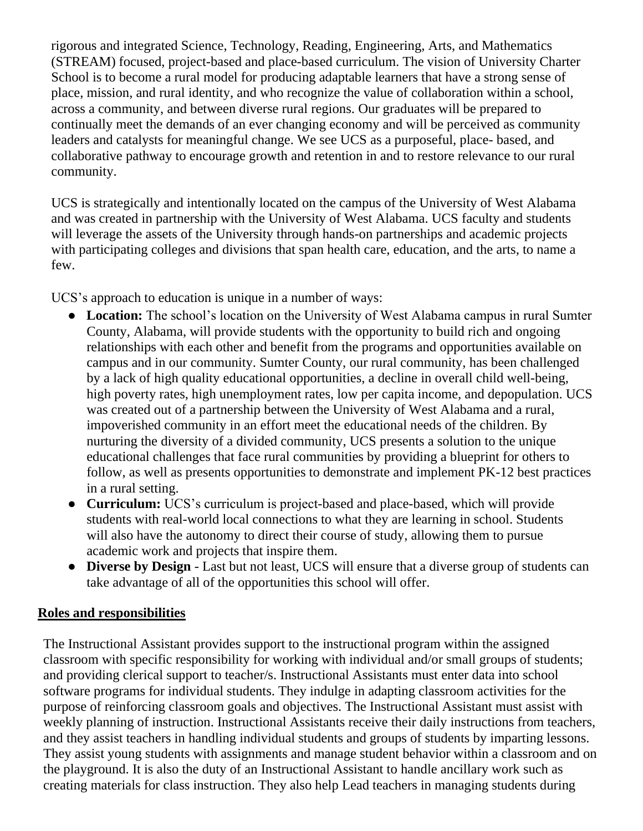rigorous and integrated Science, Technology, Reading, Engineering, Arts, and Mathematics (STREAM) focused, project-based and place-based curriculum. The vision of University Charter School is to become a rural model for producing adaptable learners that have a strong sense of place, mission, and rural identity, and who recognize the value of collaboration within a school, across a community, and between diverse rural regions. Our graduates will be prepared to continually meet the demands of an ever changing economy and will be perceived as community leaders and catalysts for meaningful change. We see UCS as a purposeful, place- based, and collaborative pathway to encourage growth and retention in and to restore relevance to our rural community.

UCS is strategically and intentionally located on the campus of the University of West Alabama and was created in partnership with the University of West Alabama. UCS faculty and students will leverage the assets of the University through hands-on partnerships and academic projects with participating colleges and divisions that span health care, education, and the arts, to name a few.

UCS's approach to education is unique in a number of ways:

- **Location:** The school's location on the University of West Alabama campus in rural Sumter County, Alabama, will provide students with the opportunity to build rich and ongoing relationships with each other and benefit from the programs and opportunities available on campus and in our community. Sumter County, our rural community, has been challenged by a lack of high quality educational opportunities, a decline in overall child well-being, high poverty rates, high unemployment rates, low per capita income, and depopulation. UCS was created out of a partnership between the University of West Alabama and a rural, impoverished community in an effort meet the educational needs of the children. By nurturing the diversity of a divided community, UCS presents a solution to the unique educational challenges that face rural communities by providing a blueprint for others to follow, as well as presents opportunities to demonstrate and implement PK-12 best practices in a rural setting.
- **Curriculum:** UCS's curriculum is project-based and place-based, which will provide students with real-world local connections to what they are learning in school. Students will also have the autonomy to direct their course of study, allowing them to pursue academic work and projects that inspire them.
- **Diverse by Design** Last but not least, UCS will ensure that a diverse group of students can take advantage of all of the opportunities this school will offer.

### **Roles and responsibilities**

The Instructional Assistant provides support to the instructional program within the assigned classroom with specific responsibility for working with individual and/or small groups of students; and providing clerical support to teacher/s. Instructional Assistants must enter data into school software programs for individual students. They indulge in adapting classroom activities for the purpose of reinforcing classroom goals and objectives. The Instructional Assistant must assist with weekly planning of instruction. Instructional Assistants receive their daily instructions from teachers, and they assist teachers in handling individual students and groups of students by imparting lessons. They assist young students with assignments and manage student behavior within a classroom and on the playground. It is also the duty of an Instructional Assistant to handle ancillary work such as creating materials for class instruction. They also help Lead teachers in managing students during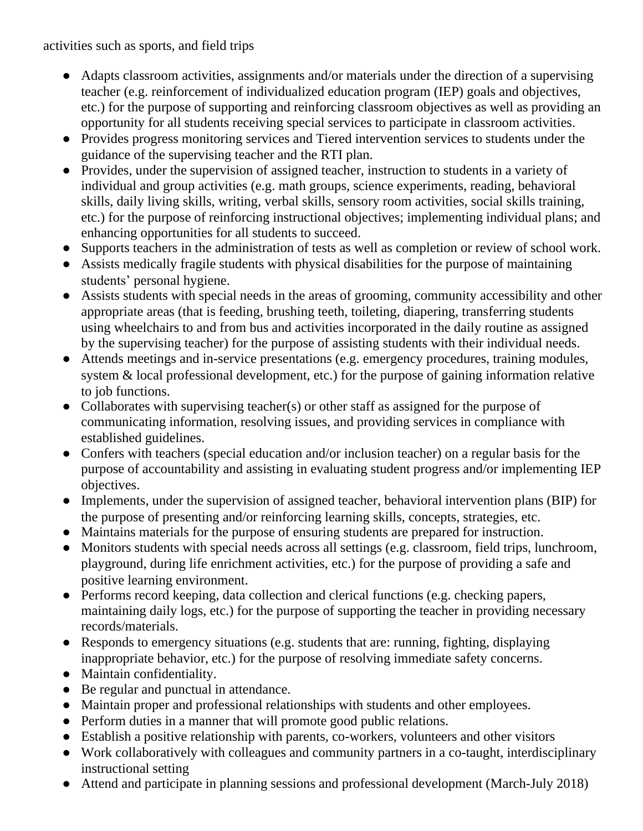activities such as sports, and field trips

- Adapts classroom activities, assignments and/or materials under the direction of a supervising teacher (e.g. reinforcement of individualized education program (IEP) goals and objectives, etc.) for the purpose of supporting and reinforcing classroom objectives as well as providing an opportunity for all students receiving special services to participate in classroom activities.
- Provides progress monitoring services and Tiered intervention services to students under the guidance of the supervising teacher and the RTI plan.
- Provides, under the supervision of assigned teacher, instruction to students in a variety of individual and group activities (e.g. math groups, science experiments, reading, behavioral skills, daily living skills, writing, verbal skills, sensory room activities, social skills training, etc.) for the purpose of reinforcing instructional objectives; implementing individual plans; and enhancing opportunities for all students to succeed.
- Supports teachers in the administration of tests as well as completion or review of school work.
- Assists medically fragile students with physical disabilities for the purpose of maintaining students' personal hygiene.
- Assists students with special needs in the areas of grooming, community accessibility and other appropriate areas (that is feeding, brushing teeth, toileting, diapering, transferring students using wheelchairs to and from bus and activities incorporated in the daily routine as assigned by the supervising teacher) for the purpose of assisting students with their individual needs.
- Attends meetings and in-service presentations (e.g. emergency procedures, training modules, system & local professional development, etc.) for the purpose of gaining information relative to job functions.
- Collaborates with supervising teacher(s) or other staff as assigned for the purpose of communicating information, resolving issues, and providing services in compliance with established guidelines.
- Confers with teachers (special education and/or inclusion teacher) on a regular basis for the purpose of accountability and assisting in evaluating student progress and/or implementing IEP objectives.
- Implements, under the supervision of assigned teacher, behavioral intervention plans (BIP) for the purpose of presenting and/or reinforcing learning skills, concepts, strategies, etc.
- Maintains materials for the purpose of ensuring students are prepared for instruction.
- Monitors students with special needs across all settings (e.g. classroom, field trips, lunchroom, playground, during life enrichment activities, etc.) for the purpose of providing a safe and positive learning environment.
- Performs record keeping, data collection and clerical functions (e.g. checking papers, maintaining daily logs, etc.) for the purpose of supporting the teacher in providing necessary records/materials.
- Responds to emergency situations (e.g. students that are: running, fighting, displaying inappropriate behavior, etc.) for the purpose of resolving immediate safety concerns.
- Maintain confidentiality.
- Be regular and punctual in attendance.
- Maintain proper and professional relationships with students and other employees.
- Perform duties in a manner that will promote good public relations.
- Establish a positive relationship with parents, co-workers, volunteers and other visitors
- Work collaboratively with colleagues and community partners in a co-taught, interdisciplinary instructional setting
- Attend and participate in planning sessions and professional development (March-July 2018)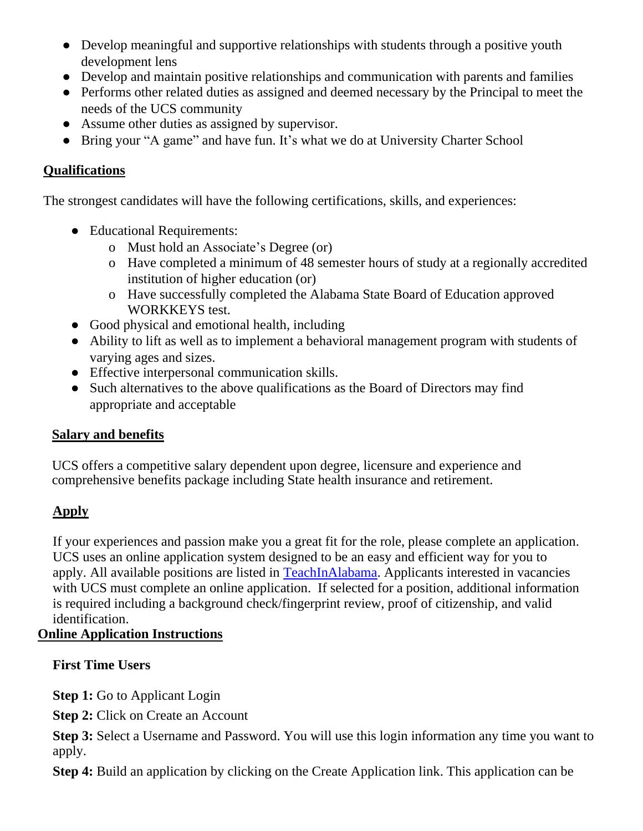- Develop meaningful and supportive relationships with students through a positive youth development lens
- Develop and maintain positive relationships and communication with parents and families
- Performs other related duties as assigned and deemed necessary by the Principal to meet the needs of the UCS community
- **●** Assume other duties as assigned by supervisor.
- Bring your "A game" and have fun. It's what we do at University Charter School

## **Qualifications**

The strongest candidates will have the following certifications, skills, and experiences:

- Educational Requirements:
	- o Must hold an Associate's Degree (or)
	- o Have completed a minimum of 48 semester hours of study at a regionally accredited institution of higher education (or)
	- o Have successfully completed the Alabama State Board of Education approved WORKKEYS test.
- Good physical and emotional health, including
- Ability to lift as well as to implement a behavioral management program with students of varying ages and sizes.
- Effective interpersonal communication skills.
- Such alternatives to the above qualifications as the Board of Directors may find appropriate and acceptable

# **Salary and benefits**

UCS offers a competitive salary dependent upon degree, licensure and experience and comprehensive benefits package including State health insurance and retirement.

# **Apply**

If your experiences and passion make you a great fit for the role, please complete an application. UCS uses an online application system designed to be an easy and efficient way for you to apply. All available positions are listed in [TeachInAlabama.](https://ats1.atenterprise.powerschool.com/ats/app_login?COMPANY_ID=00008500) Applicants interested in vacancies with UCS must complete an online application. If selected for a position, additional information is required including a background check/fingerprint review, proof of citizenship, and valid identification.

# **Online Application Instructions**

# **First Time Users**

**Step 1:** Go to Applicant Login

**Step 2:** Click on Create an Account

**Step 3:** Select a Username and Password. You will use this login information any time you want to apply.

**Step 4:** Build an application by clicking on the Create Application link. This application can be